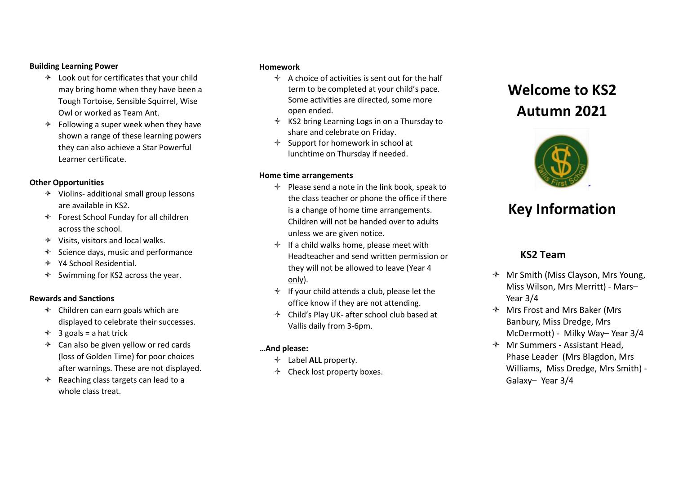#### **Building Learning Power**

- Look out for certificates that your child may bring home when they have been a Tough Tortoise, Sensible Squirrel, Wise Owl or worked as Team Ant.
- $\triangleleft$  Following a super week when they have shown a range of these learning powers they can also achieve a Star Powerful Learner certificate.

## **Other Opportunities**

- $\triangleleft$  Violins- additional small group lessons are available in KS2.
- Forest School Funday for all children across the school.
- $\triangleleft$  Visits, visitors and local walks.
- $\triangleq$  Science days, music and performance
- Y4 School Residential.
- $\triangleleft$  Swimming for KS2 across the year.

## **Rewards and Sanctions**

- $\triangleleft$  Children can earn goals which are displayed to celebrate their successes.
- $\div$  3 goals = a hat trick
- $\triangleleft$  Can also be given yellow or red cards (loss of Golden Time) for poor choices after warnings. These are not displayed.
- $\triangleleft$  Reaching class targets can lead to a whole class treat.

## **Homework**

- $\triangle$  A choice of activities is sent out for the half term to be completed at your child's pace. Some activities are directed, some more open ended.
- $\triangleq$  KS2 bring Learning Logs in on a Thursday to share and celebrate on Friday.
- $\triangleleft$  Support for homework in school at lunchtime on Thursday if needed.

## **Home time arrangements**

- $\triangleq$  Please send a note in the link book, speak to the class teacher or phone the office if there is a change of home time arrangements. Children will not be handed over to adults unless we are given notice.
- $\triangleq$  If a child walks home, please meet with Headteacher and send written permission or they will not be allowed to leave (Year 4 only).
- $\triangleq$  If your child attends a club, please let the office know if they are not attending.
- Child's Play UK- after school club based at Vallis daily from 3-6pm.

## **…And please:**

- Label **ALL** property.
- $\triangleleft$  Check lost property boxes.

# **Welcome to KS2 Autumn 2021**



## **Key Information**

## **KS2 Team**

- $\triangleq$  Mr Smith (Miss Clayson, Mrs Young, Miss Wilson, Mrs Merritt) - Mars– Year 3/4
- Mrs Frost and Mrs Baker (Mrs Banbury, Miss Dredge, Mrs McDermott) - Milky Way– Year 3/4
- $\triangleq$  Mr Summers Assistant Head. Phase Leader (Mrs Blagdon, Mrs Williams, Miss Dredge, Mrs Smith) - Galaxy– Year 3/4